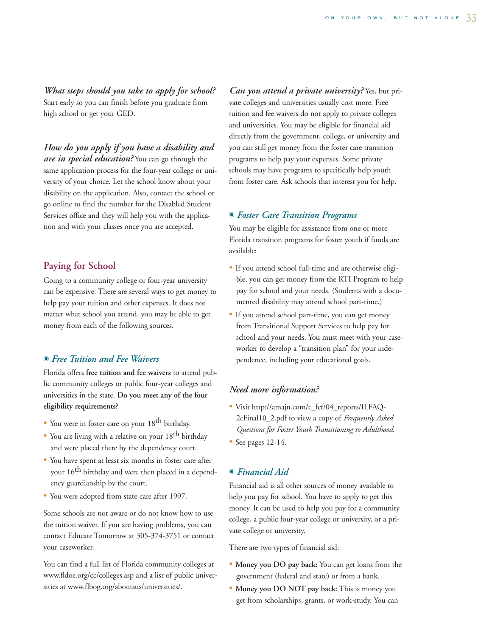*What steps should you take to apply for school?* Start early so you can finish before you graduate from high school or get your GED.

*How do you apply if you have a disability and*

*are in special education?* You can go through the same application process for the four-year college or university of your choice. Let the school know about your disability on the application. Also, contact the school or go online to find the number for the Disabled Student Services office and they will help you with the application and with your classes once you are accepted.

## **Paying for School**

Going to a community college or four-year university can be expensive. There are several ways to get money to help pay your tuition and other expenses. It does not matter what school you attend, you may be able to get money from each of the following sources.

# - *Free Tuition and Fee Waivers*

Florida offers **free tuition and fee waivers** to attend public community colleges or public four-year colleges and universities in the state. **Do you meet any of the four eligibility requirements?**

- You were in foster care on your 18<sup>th</sup> birthday.
- You are living with a relative on your 18th birthday and were placed there by the dependency court.
- You have spent at least six months in foster care after your  $16^{th}$  birthday and were then placed in a dependency guardianship by the court.
- You were adopted from state care after 1997.

Some schools are not aware or do not know how to use the tuition waiver. If you are having problems, you can contact Educate Tomorrow at 305-374-3751 or contact your caseworker.

You can find a full list of Florida community colleges at www.fldoe.org/cc/colleges.asp and a list of public universities at www.flbog.org/aboutsus/universities/.

*Can you attend a private university?* Yes, but private colleges and universities usually cost more. Free tuition and fee waivers do not apply to private colleges and universities. You may be eligible for financial aid directly from the government, college, or university and you can still get money from the foster care transition programs to help pay your expenses. Some private schools may have programs to specifically help youth from foster care. Ask schools that interest you for help.

# - *Foster Care Transition Programs*

You may be eligible for assistance from one or more Florida transition programs for foster youth if funds are available:

- If you attend school full-time and are otherwise eligible, you can get money from the RTI Program to help pay for school and your needs. (Students with a documented disability may attend school part-time.)
- If you attend school part-time, you can get money from Transitional Support Services to help pay for school and your needs. You must meet with your caseworker to develop a "transition plan" for your independence, including your educational goals.

### *Need more information?*

- Visit http://amajn.com/c\_fcf/04\_reports/ILFAQ-2cFinal10\_2.pdf to view a copy of *Frequently Asked Questions for Foster Youth Transitioning to Adulthood*.
- See pages 12-14.

# - *Financial Aid*

Financial aid is all other sources of money available to help you pay for school. You have to apply to get this money. It can be used to help you pay for a community college, a public four-year college or university, or a private college or university.

There are two types of financial aid:

- **Money you DO pay back:** You can get loans from the government (federal and state) or from a bank.
- **Money you DO NOT pay back:** This is money you get from scholarships, grants, or work-study. You can